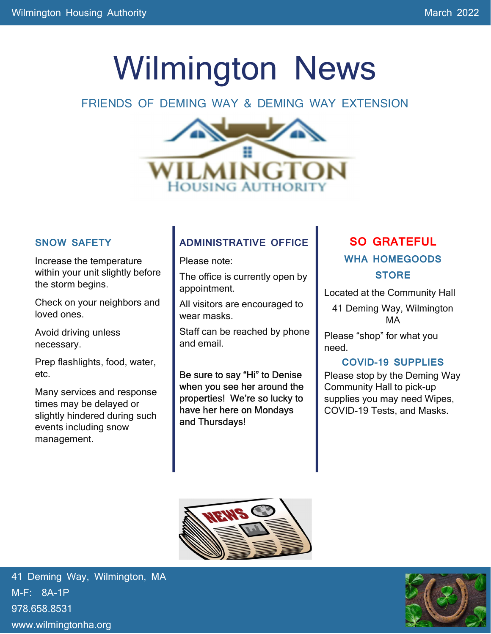# Wilmington News

#### FRIENDS OF DEMING WAY & DEMING WAY EXTENSION



#### SNOW SAFETY

Increase the temperature within your unit slightly before the storm begins.

Check on your neighbors and loved ones.

Avoid driving unless necessary.

Prep flashlights, food, water, etc.

Many services and response times may be delayed or slightly hindered during such events including snow management.

#### ADMINISTRATIVE OFFICE

Please note:

The office is currently open by appointment.

All visitors are encouraged to wear masks.

Staff can be reached by phone and email.

Be sure to say "Hi" to Denise when you see her around the properties! We're so lucky to have her here on Mondays and Thursdays!

#### SO GRATEFUL WHA HOMEGOODS **STORE**

Located at the Community Hall

41 Deming Way, Wilmington MA

Please "shop" for what you need.

#### COVID-19 SUPPLIES

Please stop by the Deming Way Community Hall to pick-up supplies you may need Wipes, COVID-19 Tests, and Masks.



41 Deming Way, Wilmington, MA M-F: 8A-1P 978.658.8531 www.wilmingtonha.org

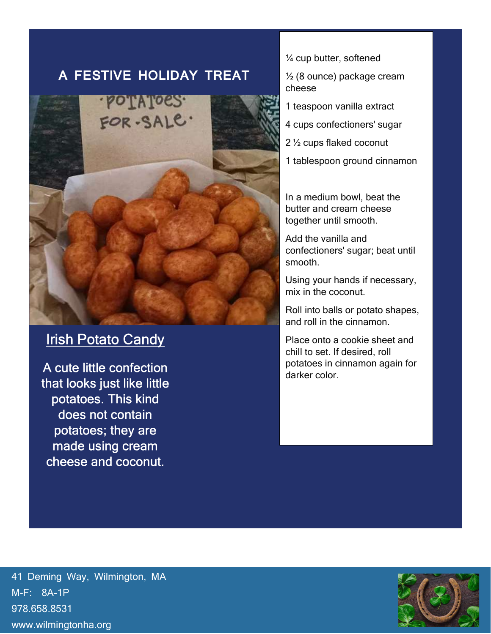#### A FESTIVE HOLIDAY TREAT



### **Irish Potato Candy**

A cute little confection that looks just like little potatoes. This kind does not contain potatoes; they are made using cream cheese and coconut.

¼ cup butter, softened

½ (8 ounce) package cream cheese

1 teaspoon vanilla extract

4 cups confectioners' sugar

2 ½ cups flaked coconut

1 tablespoon ground cinnamon

In a medium bowl, beat the butter and cream cheese together until smooth.

Add the vanilla and confectioners' sugar; beat until smooth.

Using your hands if necessary, mix in the coconut.

Roll into balls or potato shapes, and roll in the cinnamon.

Place onto a cookie sheet and chill to set. If desired, roll potatoes in cinnamon again for darker color.

41 Deming Way, Wilmington, MA M-F: 8A-1P 978.658.8531 www.wilmingtonha.org

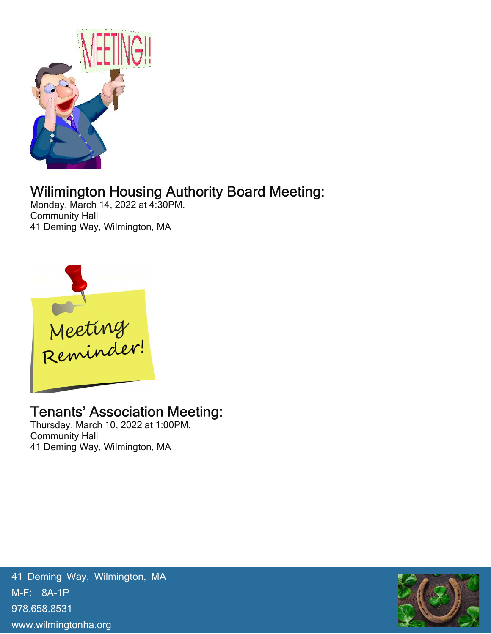

# Wilimington Housing Authority Board Meeting:

Monday, March 14, 2022 at 4:30PM. Community Hall 41 Deming Way, Wilmington, MA



## Tenants' Association Meeting:

Thursday, March 10, 2022 at 1:00PM. Community Hall 41 Deming Way, Wilmington, MA